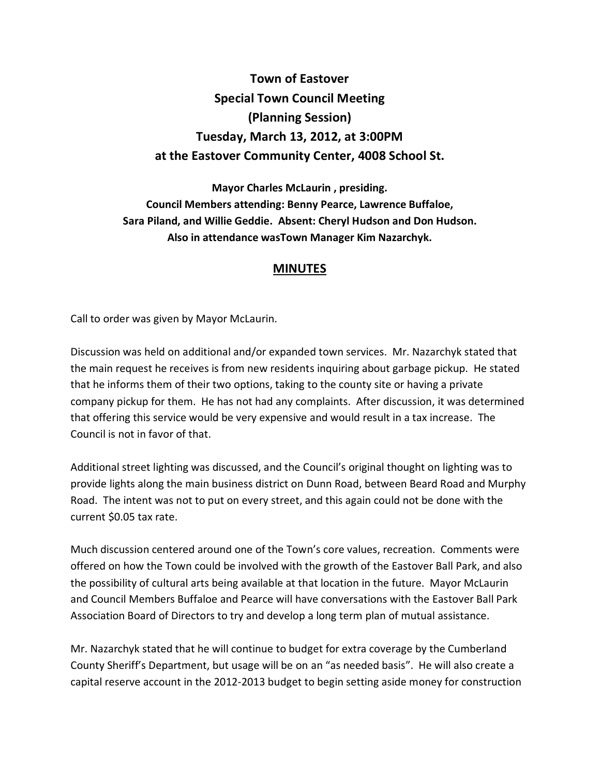## **Town of Eastover Special Town Council Meeting (Planning Session) Tuesday, March 13, 2012, at 3:00PM at the Eastover Community Center, 4008 School St.**

**Mayor Charles McLaurin , presiding. Council Members attending: Benny Pearce, Lawrence Buffaloe, Sara Piland, and Willie Geddie. Absent: Cheryl Hudson and Don Hudson. Also in attendance wasTown Manager Kim Nazarchyk.** 

## **MINUTES**

Call to order was given by Mayor McLaurin.

Discussion was held on additional and/or expanded town services. Mr. Nazarchyk stated that the main request he receives is from new residents inquiring about garbage pickup. He stated that he informs them of their two options, taking to the county site or having a private company pickup for them. He has not had any complaints. After discussion, it was determined that offering this service would be very expensive and would result in a tax increase. The Council is not in favor of that.

Additional street lighting was discussed, and the Council's original thought on lighting was to provide lights along the main business district on Dunn Road, between Beard Road and Murphy Road. The intent was not to put on every street, and this again could not be done with the current \$0.05 tax rate.

Much discussion centered around one of the Town's core values, recreation. Comments were offered on how the Town could be involved with the growth of the Eastover Ball Park, and also the possibility of cultural arts being available at that location in the future. Mayor McLaurin and Council Members Buffaloe and Pearce will have conversations with the Eastover Ball Park Association Board of Directors to try and develop a long term plan of mutual assistance.

Mr. Nazarchyk stated that he will continue to budget for extra coverage by the Cumberland County Sheriff's Department, but usage will be on an "as needed basis". He will also create a capital reserve account in the 2012-2013 budget to begin setting aside money for construction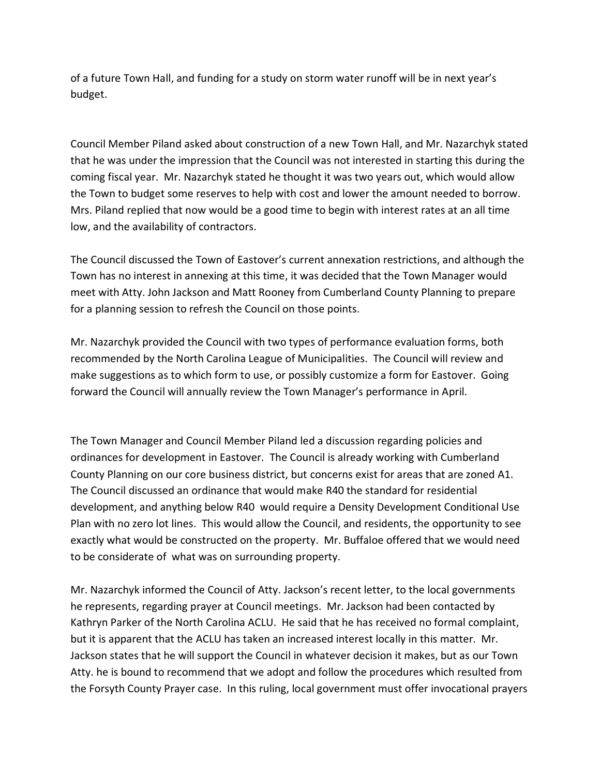of a future Town Hall, and funding for a study on storm water runoff will be in next year's budget.

Council Member Piland asked about construction of a new Town Hall, and Mr. Nazarchyk stated that he was under the impression that the Council was not interested in starting this during the coming fiscal year. Mr. Nazarchyk stated he thought it was two years out, which would allow the Town to budget some reserves to help with cost and lower the amount needed to borrow. Mrs. Piland replied that now would be a good time to begin with interest rates at an all time low, and the availability of contractors.

The Council discussed the Town of Eastover's current annexation restrictions, and although the Town has no interest in annexing at this time, it was decided that the Town Manager would meet with Atty. John Jackson and Matt Rooney from Cumberland County Planning to prepare for a planning session to refresh the Council on those points.

Mr. Nazarchyk provided the Council with two types of performance evaluation forms, both recommended by the North Carolina League of Municipalities. The Council will review and make suggestions as to which form to use, or possibly customize a form for Eastover. Going forward the Council will annually review the Town Manager's performance in April.

The Town Manager and Council Member Piland led a discussion regarding policies and ordinances for development in Eastover. The Council is already working with Cumberland County Planning on our core business district, but concerns exist for areas that are zoned A1. The Council discussed an ordinance that would make R40 the standard for residential development, and anything below R40 would require a Density Development Conditional Use Plan with no zero lot lines. This would allow the Council, and residents, the opportunity to see exactly what would be constructed on the property. Mr. Buffaloe offered that we would need to be considerate of what was on surrounding property.

Mr. Nazarchyk informed the Council of Atty. Jackson's recent letter, to the local governments he represents, regarding prayer at Council meetings. Mr. Jackson had been contacted by Kathryn Parker of the North Carolina ACLU. He said that he has received no formal complaint, but it is apparent that the ACLU has taken an increased interest locally in this matter. Mr. Jackson states that he will support the Council in whatever decision it makes, but as our Town Atty. he is bound to recommend that we adopt and follow the procedures which resulted from the Forsyth County Prayer case. In this ruling, local government must offer invocational prayers